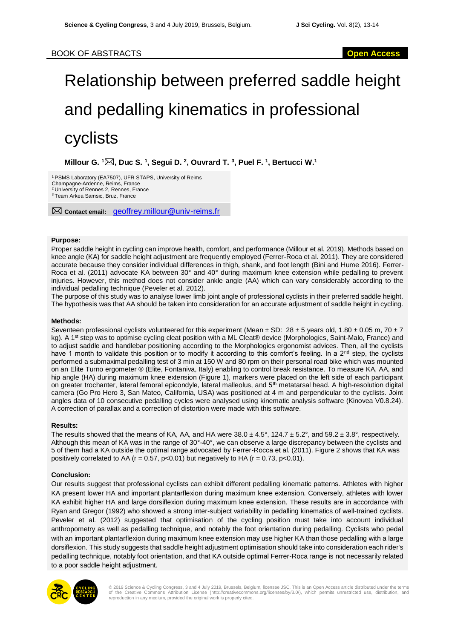# Relationship between preferred saddle height and pedalling kinematics in professional cyclists

**Millour G. <sup>1</sup>, Duc S. <sup>1</sup> , Segui D. <sup>2</sup> , Ouvrard T. <sup>3</sup> , Puel F. <sup>1</sup> , Bertucci W.<sup>1</sup>**

<sup>1</sup>PSMS Laboratory (EA7507), UFR STAPS, University of Reims

Champagne-Ardenne, Reims, France <sup>2</sup>University of Rennes 2, Rennes, France

<sup>3</sup>Team Arkea Samsic, Bruz, France

**Contact email:** geoffrey.millour@univ-reims.fr

### **Purpose:**

Proper saddle height in cycling can improve health, comfort, and performance (Millour et al. 2019). Methods based on knee angle (KA) for saddle height adjustment are frequently employed (Ferrer-Roca et al. 2011). They are considered accurate because they consider individual differences in thigh, shank, and foot length (Bini and Hume 2016). Ferrer-Roca et al. (2011) advocate KA between 30° and 40° during maximum knee extension while pedalling to prevent injuries. However, this method does not consider ankle angle (AA) which can vary considerably according to the individual pedalling technique (Peveler et al. 2012).

The purpose of this study was to analyse lower limb joint angle of professional cyclists in their preferred saddle height. The hypothesis was that AA should be taken into consideration for an accurate adjustment of saddle height in cycling.

#### **Methods:**

Seventeen professional cyclists volunteered for this experiment (Mean  $\pm$  SD: 28  $\pm$  5 years old, 1.80  $\pm$  0.05 m, 70  $\pm$  7 kg). A 1<sup>st</sup> step was to optimise cycling cleat position with a ML Cleat® device (Morphologics, Saint-Malo, France) and to adjust saddle and handlebar positioning according to the Morphologics ergonomist advices. Then, all the cyclists have 1 month to validate this position or to modify it according to this comfort's feeling. In a  $2^{nd}$  step, the cyclists performed a submaximal pedalling test of 3 min at 150 W and 80 rpm on their personal road bike which was mounted on an Elite Turno ergometer ® (Elite, Fontaniva, Italy) enabling to control break resistance. To measure KA, AA, and hip angle (HA) during maximum knee extension (Figure 1), markers were placed on the left side of each participant on greater trochanter, lateral femoral epicondyle, lateral malleolus, and 5th metatarsal head. A high-resolution digital camera (Go Pro Hero 3, San Mateo, California, USA) was positioned at 4 m and perpendicular to the cyclists. Joint angles data of 10 consecutive pedalling cycles were analysed using kinematic analysis software (Kinovea V0.8.24). A correction of parallax and a correction of distortion were made with this software.

#### **Results:**

The results showed that the means of KA, AA, and HA were  $38.0 \pm 4.5^\circ$ , 124.7  $\pm 5.2^\circ$ , and  $59.2 \pm 3.8^\circ$ , respectively. Although this mean of KA was in the range of 30°-40°, we can observe a large discrepancy between the cyclists and 5 of them had a KA outside the optimal range advocated by Ferrer-Rocca et al. (2011). Figure 2 shows that KA was positively correlated to AA ( $r = 0.57$ ,  $p < 0.01$ ) but negatively to HA ( $r = 0.73$ ,  $p < 0.01$ ).

## **Conclusion:**

Our results suggest that professional cyclists can exhibit different pedalling kinematic patterns. Athletes with higher KA present lower HA and important plantarflexion during maximum knee extension. Conversely, athletes with lower KA exhibit higher HA and large dorsiflexion during maximum knee extension. These results are in accordance with Ryan and Gregor (1992) who showed a strong inter-subject variability in pedalling kinematics of well-trained cyclists. Peveler et al. (2012) suggested that optimisation of the cycling position must take into account individual anthropometry as well as pedalling technique, and notably the foot orientation during pedalling. Cyclists who pedal with an important plantarflexion during maximum knee extension may use higher KA than those pedalling with a large dorsiflexion. This study suggests that saddle height adjustment optimisation should take into consideration each rider's pedalling technique, notably foot orientation, and that KA outside optimal Ferrer-Roca range is not necessarily related to a poor saddle height adjustment.



© 2019 Science & Cycling Congress, 3 and 4 July 2019, Brussels, Belgium, licensee JSC. This is an Open Access article distributed under the terms<br>of the Creative Commons Attribution License (http://creativecommons.org/lice reproduction in any medium, provided the original work is properly cited.